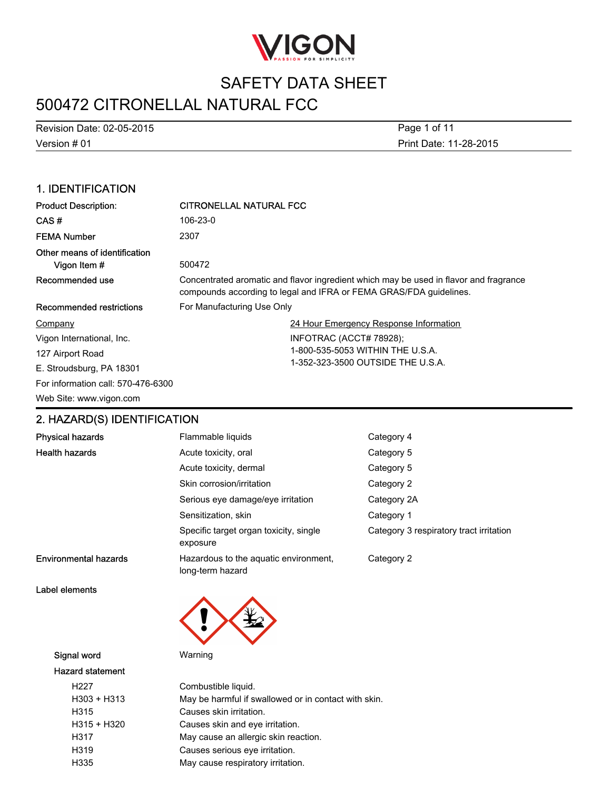

# 500472 CITRONELLAL NATURAL FCC

Version # 01 Revision Date: 02-05-2015 Print Date: 11-28-2015 Page 1 of 11

### 1. IDENTIFICATION

| <b>Product Description:</b>                   | <b>CITRONELLAL NATURAL FCC</b>                                                                                                                              |
|-----------------------------------------------|-------------------------------------------------------------------------------------------------------------------------------------------------------------|
| CAS#                                          | 106-23-0                                                                                                                                                    |
| <b>FEMA Number</b>                            | 2307                                                                                                                                                        |
| Other means of identification<br>Vigon Item # | 500472                                                                                                                                                      |
| Recommended use                               | Concentrated aromatic and flavor ingredient which may be used in flavor and fragrance<br>compounds according to legal and IFRA or FEMA GRAS/FDA guidelines. |
| Recommended restrictions                      | For Manufacturing Use Only                                                                                                                                  |
| Company                                       | 24 Hour Emergency Response Information                                                                                                                      |
| Vigon International, Inc.                     | INFOTRAC (ACCT# 78928);                                                                                                                                     |
| 127 Airport Road                              | 1-800-535-5053 WITHIN THE U.S.A.                                                                                                                            |
| E. Stroudsburg, PA 18301                      | 1-352-323-3500 OUTSIDE THE U.S.A.                                                                                                                           |
| For information call: 570-476-6300            |                                                                                                                                                             |
| Web Site: www.vigon.com                       |                                                                                                                                                             |

## 2. HAZARD(S) IDENTIFICATION

| <b>Physical hazards</b>      | Flammable liquids                                         | Category 4                              |
|------------------------------|-----------------------------------------------------------|-----------------------------------------|
| <b>Health hazards</b>        | Acute toxicity, oral                                      | Category 5                              |
|                              | Acute toxicity, dermal                                    | Category 5                              |
|                              | Skin corrosion/irritation                                 | Category 2                              |
|                              | Serious eye damage/eye irritation                         | Category 2A                             |
|                              | Sensitization, skin                                       | Category 1                              |
|                              | Specific target organ toxicity, single<br>exposure        | Category 3 respiratory tract irritation |
| <b>Environmental hazards</b> | Hazardous to the aquatic environment,<br>long-term hazard | Category 2                              |

Label elements



#### Signal word Warning

#### Hazard statement

| H <sub>22</sub> 7 | Combustible liquid.                                  |
|-------------------|------------------------------------------------------|
| H303 + H313       | May be harmful if swallowed or in contact with skin. |
| H315              | Causes skin irritation.                              |
| H315 + H320       | Causes skin and eye irritation.                      |
| H317              | May cause an allergic skin reaction.                 |
| H319              | Causes serious eye irritation.                       |
| H335              | May cause respiratory irritation.                    |
|                   |                                                      |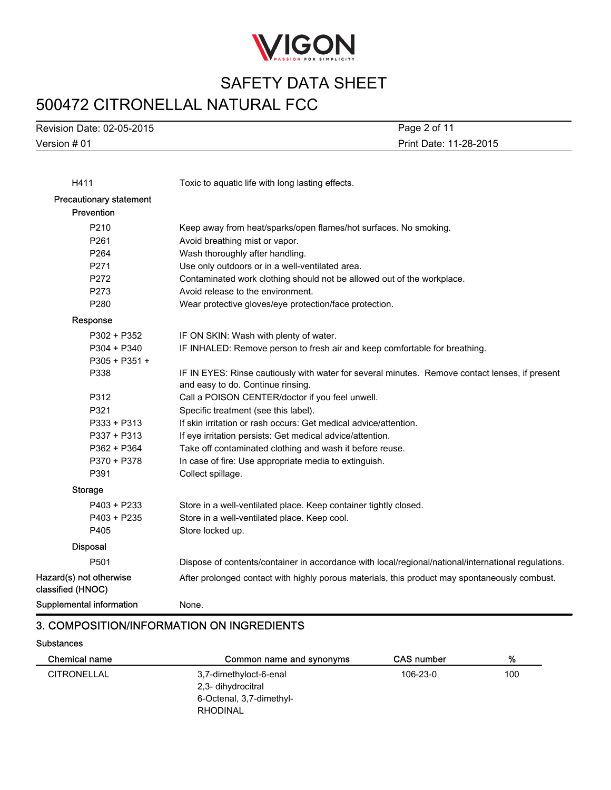

# 500472 CITRONELLAL NATURAL FCC

Version # 01 Revision Date: 02-05-2015 Print Date: 11-28-2015 Page 2 of 11

| H411                                         | Toxic to aquatic life with long lasting effects.                                                    |
|----------------------------------------------|-----------------------------------------------------------------------------------------------------|
| <b>Precautionary statement</b>               |                                                                                                     |
| Prevention                                   |                                                                                                     |
| P210                                         | Keep away from heat/sparks/open flames/hot surfaces. No smoking.                                    |
| P261                                         | Avoid breathing mist or vapor.                                                                      |
| P264                                         | Wash thoroughly after handling.                                                                     |
| P271                                         | Use only outdoors or in a well-ventilated area.                                                     |
| P272                                         | Contaminated work clothing should not be allowed out of the workplace.                              |
| P273                                         | Avoid release to the environment.                                                                   |
| P280                                         | Wear protective gloves/eye protection/face protection.                                              |
| Response                                     |                                                                                                     |
| P302 + P352                                  | IF ON SKIN: Wash with plenty of water.                                                              |
| $P304 + P340$                                | IF INHALED: Remove person to fresh air and keep comfortable for breathing.                          |
| $P305 + P351 +$                              |                                                                                                     |
| P338                                         | IF IN EYES: Rinse cautiously with water for several minutes. Remove contact lenses, if present      |
|                                              | and easy to do. Continue rinsing.                                                                   |
| P312                                         | Call a POISON CENTER/doctor if you feel unwell.                                                     |
| P321                                         | Specific treatment (see this label).                                                                |
| P333 + P313                                  | If skin irritation or rash occurs: Get medical advice/attention.                                    |
| $P337 + P313$                                | If eye irritation persists: Get medical advice/attention.                                           |
| P362 + P364                                  | Take off contaminated clothing and wash it before reuse.                                            |
| P370 + P378                                  | In case of fire: Use appropriate media to extinguish.                                               |
| P391                                         | Collect spillage.                                                                                   |
| <b>Storage</b>                               |                                                                                                     |
| P403 + P233                                  | Store in a well-ventilated place. Keep container tightly closed.                                    |
| $P403 + P235$                                | Store in a well-ventilated place. Keep cool.                                                        |
| P405                                         | Store locked up.                                                                                    |
| <b>Disposal</b>                              |                                                                                                     |
| P501                                         | Dispose of contents/container in accordance with local/regional/national/international regulations. |
| Hazard(s) not otherwise<br>classified (HNOC) | After prolonged contact with highly porous materials, this product may spontaneously combust.       |
| <b>Supplemental information</b>              | None.                                                                                               |

#### 3. COMPOSITION/INFORMATION ON INGREDIENTS

#### **Substances**

| Chemical name      | Common name and synonyms | <b>CAS number</b> | %   |
|--------------------|--------------------------|-------------------|-----|
| <b>CITRONELLAL</b> | 3,7-dimethyloct-6-enal   | 106-23-0          | 100 |
|                    | 2,3- dihydrocitral       |                   |     |
|                    | 6-Octenal, 3,7-dimethyl- |                   |     |
|                    | RHODINAL                 |                   |     |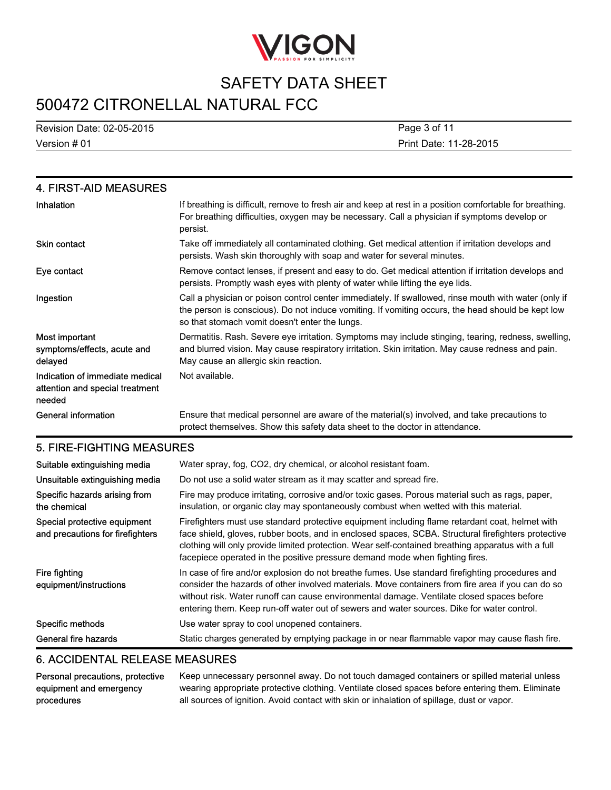

# 500472 CITRONELLAL NATURAL FCC

Version # 01 Revision Date: 02-05-2015 Print Date: 11-28-2015 Page 3 of 11

| 4. FIRST-AID MEASURES                                                        |                                                                                                                                                                                                                                                             |
|------------------------------------------------------------------------------|-------------------------------------------------------------------------------------------------------------------------------------------------------------------------------------------------------------------------------------------------------------|
| Inhalation                                                                   | If breathing is difficult, remove to fresh air and keep at rest in a position comfortable for breathing.<br>For breathing difficulties, oxygen may be necessary. Call a physician if symptoms develop or<br>persist.                                        |
| <b>Skin contact</b>                                                          | Take off immediately all contaminated clothing. Get medical attention if irritation develops and<br>persists. Wash skin thoroughly with soap and water for several minutes.                                                                                 |
| Eye contact                                                                  | Remove contact lenses, if present and easy to do. Get medical attention if irritation develops and<br>persists. Promptly wash eyes with plenty of water while lifting the eye lids.                                                                         |
| Ingestion                                                                    | Call a physician or poison control center immediately. If swallowed, rinse mouth with water (only if<br>the person is conscious). Do not induce vomiting. If vomiting occurs, the head should be kept low<br>so that stomach vomit doesn't enter the lungs. |
| Most important<br>symptoms/effects, acute and<br>delayed                     | Dermatitis. Rash. Severe eye irritation. Symptoms may include stinging, tearing, redness, swelling,<br>and blurred vision. May cause respiratory irritation. Skin irritation. May cause redness and pain.<br>May cause an allergic skin reaction.           |
| Indication of immediate medical<br>attention and special treatment<br>needed | Not available.                                                                                                                                                                                                                                              |
| <b>General information</b>                                                   | Ensure that medical personnel are aware of the material(s) involved, and take precautions to<br>protect themselves. Show this safety data sheet to the doctor in attendance.                                                                                |

#### 5. FIRE-FIGHTING MEASURES

| Suitable extinguishing media<br>Unsuitable extinguishing media   | Water spray, fog, CO2, dry chemical, or alcohol resistant foam.<br>Do not use a solid water stream as it may scatter and spread fire.                                                                                                                                                                                                                                                           |
|------------------------------------------------------------------|-------------------------------------------------------------------------------------------------------------------------------------------------------------------------------------------------------------------------------------------------------------------------------------------------------------------------------------------------------------------------------------------------|
| Specific hazards arising from<br>the chemical                    | Fire may produce irritating, corrosive and/or toxic gases. Porous material such as rags, paper,<br>insulation, or organic clay may spontaneously combust when wetted with this material.                                                                                                                                                                                                        |
| Special protective equipment<br>and precautions for firefighters | Firefighters must use standard protective equipment including flame retardant coat, helmet with<br>face shield, gloves, rubber boots, and in enclosed spaces, SCBA. Structural firefighters protective<br>clothing will only provide limited protection. Wear self-contained breathing apparatus with a full<br>facepiece operated in the positive pressure demand mode when fighting fires.    |
| Fire fighting<br>equipment/instructions                          | In case of fire and/or explosion do not breathe fumes. Use standard firefighting procedures and<br>consider the hazards of other involved materials. Move containers from fire area if you can do so<br>without risk. Water runoff can cause environmental damage. Ventilate closed spaces before<br>entering them. Keep run-off water out of sewers and water sources. Dike for water control. |
| Specific methods                                                 | Use water spray to cool unopened containers.                                                                                                                                                                                                                                                                                                                                                    |
| General fire hazards                                             | Static charges generated by emptying package in or near flammable vapor may cause flash fire.                                                                                                                                                                                                                                                                                                   |

### 6. ACCIDENTAL RELEASE MEASURES

| Personal precautions, protective | Keep unnecessary personnel away. Do not touch damaged containers or spilled material unless      |
|----------------------------------|--------------------------------------------------------------------------------------------------|
| equipment and emergency          | wearing appropriate protective clothing. Ventilate closed spaces before entering them. Eliminate |
| procedures                       | all sources of ignition. Avoid contact with skin or inhalation of spillage, dust or vapor.       |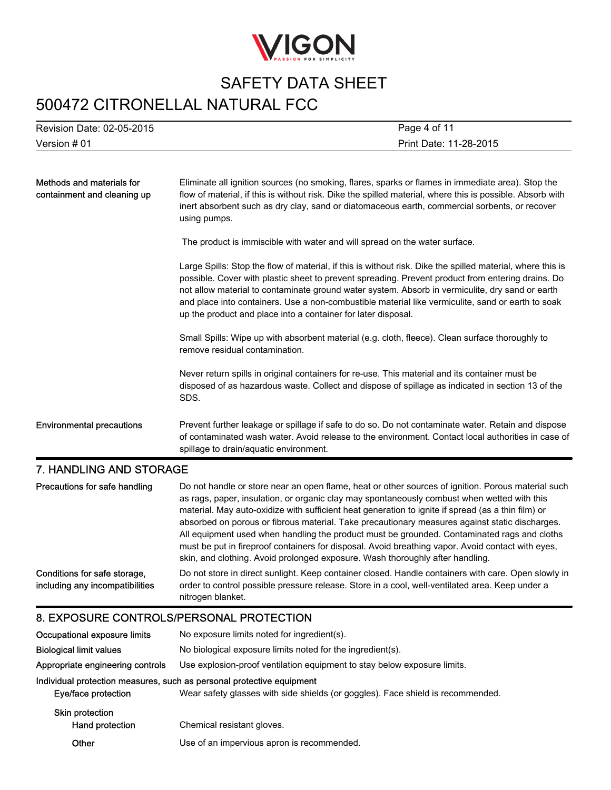

## 500472 CITRONELLAL NATURAL FCC

| Version # 01              | Print Date: 11-28-2015 |
|---------------------------|------------------------|
| Revision Date: 02-05-2015 | Page 4 of 11           |

| Methods and materials for<br>containment and cleaning up | Eliminate all ignition sources (no smoking, flares, sparks or flames in immediate area). Stop the<br>flow of material, if this is without risk. Dike the spilled material, where this is possible. Absorb with<br>inert absorbent such as dry clay, sand or diatomaceous earth, commercial sorbents, or recover<br>using pumps.                                                                                                                                                          |
|----------------------------------------------------------|------------------------------------------------------------------------------------------------------------------------------------------------------------------------------------------------------------------------------------------------------------------------------------------------------------------------------------------------------------------------------------------------------------------------------------------------------------------------------------------|
|                                                          | The product is immiscible with water and will spread on the water surface.                                                                                                                                                                                                                                                                                                                                                                                                               |
|                                                          | Large Spills: Stop the flow of material, if this is without risk. Dike the spilled material, where this is<br>possible. Cover with plastic sheet to prevent spreading. Prevent product from entering drains. Do<br>not allow material to contaminate ground water system. Absorb in vermiculite, dry sand or earth<br>and place into containers. Use a non-combustible material like vermiculite, sand or earth to soak<br>up the product and place into a container for later disposal. |
|                                                          | Small Spills: Wipe up with absorbent material (e.g. cloth, fleece). Clean surface thoroughly to<br>remove residual contamination.                                                                                                                                                                                                                                                                                                                                                        |
|                                                          | Never return spills in original containers for re-use. This material and its container must be<br>disposed of as hazardous waste. Collect and dispose of spillage as indicated in section 13 of the<br>SDS.                                                                                                                                                                                                                                                                              |
| <b>Environmental precautions</b>                         | Prevent further leakage or spillage if safe to do so. Do not contaminate water. Retain and dispose<br>of contaminated wash water. Avoid release to the environment. Contact local authorities in case of<br>spillage to drain/aquatic environment.                                                                                                                                                                                                                                       |
| 7. HANDLING AND STORAGE                                  |                                                                                                                                                                                                                                                                                                                                                                                                                                                                                          |

#### Precautions for safe handling Do not handle or store near an open flame, heat or other sources of ignition. Porous material such as rags, paper, insulation, or organic clay may spontaneously combust when wetted with this material. May auto-oxidize with sufficient heat generation to ignite if spread (as a thin film) or absorbed on porous or fibrous material. Take precautionary measures against static discharges. All equipment used when handling the product must be grounded. Contaminated rags and cloths must be put in fireproof containers for disposal. Avoid breathing vapor. Avoid contact with eyes, skin, and clothing. Avoid prolonged exposure. Wash thoroughly after handling. Conditions for safe storage, including any incompatibilities Do not store in direct sunlight. Keep container closed. Handle containers with care. Open slowly in order to control possible pressure release. Store in a cool, well-ventilated area. Keep under a nitrogen blanket.

#### 8. EXPOSURE CONTROLS/PERSONAL PROTECTION

| Occupational exposure limits              | No exposure limits noted for ingredient(s).                                                                                                              |
|-------------------------------------------|----------------------------------------------------------------------------------------------------------------------------------------------------------|
| <b>Biological limit values</b>            | No biological exposure limits noted for the ingredient(s).                                                                                               |
| Appropriate engineering controls          | Use explosion-proof ventilation equipment to stay below exposure limits.                                                                                 |
| Eye/face protection                       | Individual protection measures, such as personal protective equipment<br>Wear safety glasses with side shields (or goggles). Face shield is recommended. |
| <b>Skin protection</b><br>Hand protection | Chemical resistant gloves.                                                                                                                               |
| Other                                     | Use of an impervious apron is recommended.                                                                                                               |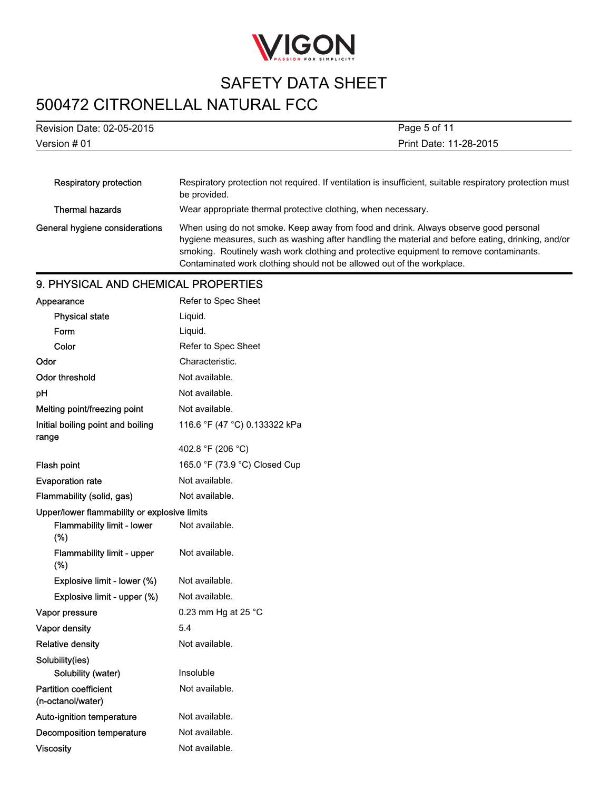

# 500472 CITRONELLAL NATURAL FCC

| Revision Date: 02-05-2015      | Page 5 of 11<br>Print Date: 11-28-2015                                                                                                                                                                                                                                                                                                                        |  |
|--------------------------------|---------------------------------------------------------------------------------------------------------------------------------------------------------------------------------------------------------------------------------------------------------------------------------------------------------------------------------------------------------------|--|
| Version # 01                   |                                                                                                                                                                                                                                                                                                                                                               |  |
|                                |                                                                                                                                                                                                                                                                                                                                                               |  |
| Respiratory protection         | Respiratory protection not required. If ventilation is insufficient, suitable respiratory protection must<br>be provided.                                                                                                                                                                                                                                     |  |
| <b>Thermal hazards</b>         | Wear appropriate thermal protective clothing, when necessary.                                                                                                                                                                                                                                                                                                 |  |
| General hygiene considerations | When using do not smoke. Keep away from food and drink. Always observe good personal<br>hygiene measures, such as washing after handling the material and before eating, drinking, and/or<br>smoking. Routinely wash work clothing and protective equipment to remove contaminants.<br>Contaminated work clothing should not be allowed out of the workplace. |  |

#### 9. PHYSICAL AND CHEMICAL PROPERTIES

| Appearance                                        | Refer to Spec Sheet           |
|---------------------------------------------------|-------------------------------|
| <b>Physical state</b>                             | Liquid.                       |
| Form                                              | Liquid.                       |
| Color                                             | Refer to Spec Sheet           |
| Odor                                              | Characteristic.               |
| <b>Odor threshold</b>                             | Not available.                |
| рH                                                | Not available.                |
| Melting point/freezing point                      | Not available.                |
| Initial boiling point and boiling<br>range        | 116.6 °F (47 °C) 0.133322 kPa |
|                                                   | 402.8 °F (206 °C)             |
| Flash point                                       | 165.0 °F (73.9 °C) Closed Cup |
| <b>Evaporation rate</b>                           | Not available.                |
| Flammability (solid, gas)                         | Not available.                |
| Upper/lower flammability or explosive limits      |                               |
| <b>Flammability limit - lower</b><br>(%)          | Not available.                |
| Flammability limit - upper<br>$(\%)$              | Not available.                |
| Explosive limit - lower (%)                       | Not available.                |
| Explosive limit - upper (%)                       | Not available.                |
| Vapor pressure                                    | 0.23 mm Hg at 25 $^{\circ}$ C |
| Vapor density                                     | 5.4                           |
| <b>Relative density</b>                           | Not available.                |
| Solubility(ies)                                   |                               |
| Solubility (water)                                | Insoluble                     |
| <b>Partition coefficient</b><br>(n-octanol/water) | Not available.                |
| Auto-ignition temperature                         | Not available.                |
| <b>Decomposition temperature</b>                  | Not available.                |
| <b>Viscosity</b>                                  | Not available.                |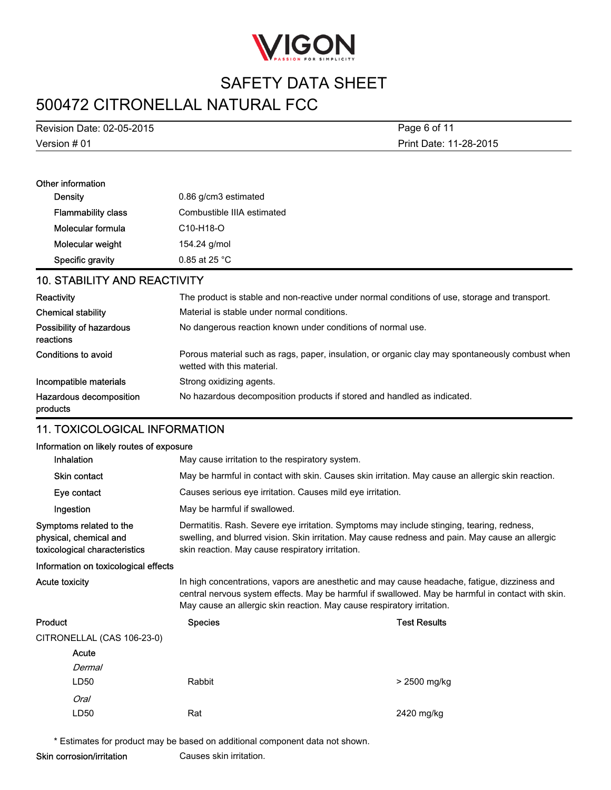

# 500472 CITRONELLAL NATURAL FCC

Version # 01 Revision Date: 02-05-2015 Print Date: 11-28-2015 Page 6 of 11

| Other information         |                            |
|---------------------------|----------------------------|
| Density                   | 0.86 g/cm3 estimated       |
| <b>Flammability class</b> | Combustible IIIA estimated |
| Molecular formula         | $C10-H18-O$                |
| Molecular weight          | 154.24 g/mol               |
| Specific gravity          | $0.85$ at 25 °C.           |

### 10. STABILITY AND REACTIVITY

| Reactivity                            | The product is stable and non-reactive under normal conditions of use, storage and transport.                                 |
|---------------------------------------|-------------------------------------------------------------------------------------------------------------------------------|
| <b>Chemical stability</b>             | Material is stable under normal conditions.                                                                                   |
| Possibility of hazardous<br>reactions | No dangerous reaction known under conditions of normal use.                                                                   |
| Conditions to avoid                   | Porous material such as rags, paper, insulation, or organic clay may spontaneously combust when<br>wetted with this material. |
| Incompatible materials                | Strong oxidizing agents.                                                                                                      |
| Hazardous decomposition<br>products   | No hazardous decomposition products if stored and handled as indicated.                                                       |

## 11. TOXICOLOGICAL INFORMATION

#### Information on likely routes of exposure

| information on likely routes of exposure                                           |                                                                                                                                                                                                                                                                             |                                                                                                   |  |  |
|------------------------------------------------------------------------------------|-----------------------------------------------------------------------------------------------------------------------------------------------------------------------------------------------------------------------------------------------------------------------------|---------------------------------------------------------------------------------------------------|--|--|
| Inhalation                                                                         |                                                                                                                                                                                                                                                                             | May cause irritation to the respiratory system.                                                   |  |  |
| <b>Skin contact</b>                                                                |                                                                                                                                                                                                                                                                             | May be harmful in contact with skin. Causes skin irritation. May cause an allergic skin reaction. |  |  |
| Eye contact                                                                        | Causes serious eye irritation. Causes mild eye irritation.                                                                                                                                                                                                                  |                                                                                                   |  |  |
| Ingestion                                                                          | May be harmful if swallowed.                                                                                                                                                                                                                                                |                                                                                                   |  |  |
| Symptoms related to the<br>physical, chemical and<br>toxicological characteristics | Dermatitis. Rash. Severe eye irritation. Symptoms may include stinging, tearing, redness,<br>swelling, and blurred vision. Skin irritation. May cause redness and pain. May cause an allergic<br>skin reaction. May cause respiratory irritation.                           |                                                                                                   |  |  |
| Information on toxicological effects                                               |                                                                                                                                                                                                                                                                             |                                                                                                   |  |  |
| Acute toxicity                                                                     | In high concentrations, vapors are anesthetic and may cause headache, fatigue, dizziness and<br>central nervous system effects. May be harmful if swallowed. May be harmful in contact with skin.<br>May cause an allergic skin reaction. May cause respiratory irritation. |                                                                                                   |  |  |
| Product                                                                            | <b>Species</b>                                                                                                                                                                                                                                                              | <b>Test Results</b>                                                                               |  |  |
| CITRONELLAL (CAS 106-23-0)                                                         |                                                                                                                                                                                                                                                                             |                                                                                                   |  |  |
| Acute                                                                              |                                                                                                                                                                                                                                                                             |                                                                                                   |  |  |
| Dermal                                                                             |                                                                                                                                                                                                                                                                             |                                                                                                   |  |  |
| LD50                                                                               | Rabbit                                                                                                                                                                                                                                                                      | > 2500 mg/kg                                                                                      |  |  |
| Oral                                                                               |                                                                                                                                                                                                                                                                             |                                                                                                   |  |  |
| LD50                                                                               | Rat                                                                                                                                                                                                                                                                         | 2420 mg/kg                                                                                        |  |  |

\* Estimates for product may be based on additional component data not shown.

Skin corrosion/irritation Causes skin irritation.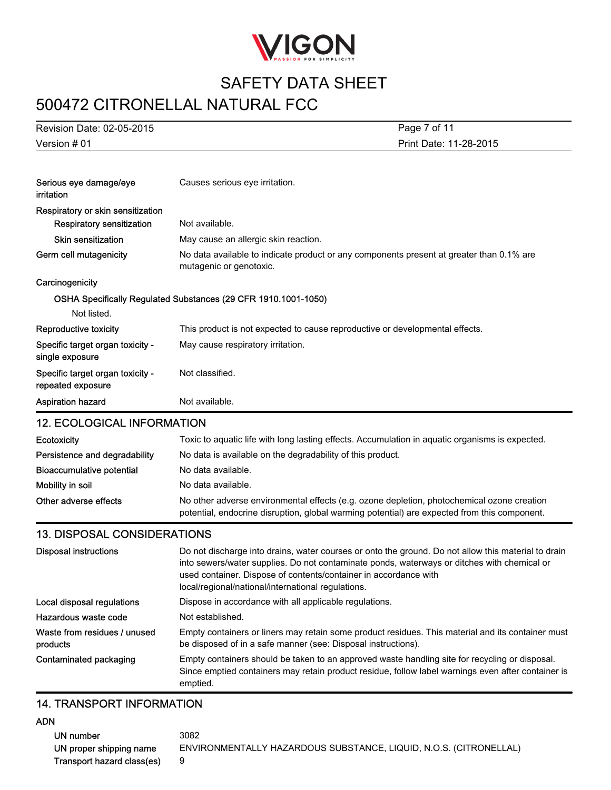

## 500472 CITRONELLAL NATURAL FCC

| Revision Date: 02-05-2015                             | Page 7 of 11                                                                                                        |  |
|-------------------------------------------------------|---------------------------------------------------------------------------------------------------------------------|--|
| Version # 01                                          | Print Date: 11-28-2015                                                                                              |  |
|                                                       |                                                                                                                     |  |
| Serious eye damage/eye<br>irritation                  | Causes serious eye irritation.                                                                                      |  |
| Respiratory or skin sensitization                     |                                                                                                                     |  |
| Respiratory sensitization                             | Not available.                                                                                                      |  |
| Skin sensitization                                    | May cause an allergic skin reaction.                                                                                |  |
| Germ cell mutagenicity                                | No data available to indicate product or any components present at greater than 0.1% are<br>mutagenic or genotoxic. |  |
| Carcinogenicity                                       |                                                                                                                     |  |
|                                                       | OSHA Specifically Regulated Substances (29 CFR 1910.1001-1050)                                                      |  |
| Not listed.                                           |                                                                                                                     |  |
| Reproductive toxicity                                 | This product is not expected to cause reproductive or developmental effects.                                        |  |
| Specific target organ toxicity -<br>single exposure   | May cause respiratory irritation.                                                                                   |  |
| Specific target organ toxicity -<br>repeated exposure | Not classified.                                                                                                     |  |
| Aspiration hazard                                     | Not available.                                                                                                      |  |
| <b>12. ECOLOGICAL INFORMATION</b>                     |                                                                                                                     |  |

| <b>Ecotoxicity</b>            | Toxic to aquatic life with long lasting effects. Accumulation in aquatic organisms is expected.                                                                                            |  |
|-------------------------------|--------------------------------------------------------------------------------------------------------------------------------------------------------------------------------------------|--|
| Persistence and degradability | No data is available on the degradability of this product.                                                                                                                                 |  |
| Bioaccumulative potential     | No data available.                                                                                                                                                                         |  |
| Mobility in soil              | No data available.                                                                                                                                                                         |  |
| Other adverse effects         | No other adverse environmental effects (e.g. ozone depletion, photochemical ozone creation<br>potential, endocrine disruption, global warming potential) are expected from this component. |  |

#### 13. DISPOSAL CONSIDERATIONS

| Disposal instructions                    | Do not discharge into drains, water courses or onto the ground. Do not allow this material to drain<br>into sewers/water supplies. Do not contaminate ponds, waterways or ditches with chemical or<br>used container. Dispose of contents/container in accordance with<br>local/regional/national/international regulations. |
|------------------------------------------|------------------------------------------------------------------------------------------------------------------------------------------------------------------------------------------------------------------------------------------------------------------------------------------------------------------------------|
| Local disposal regulations               | Dispose in accordance with all applicable regulations.                                                                                                                                                                                                                                                                       |
| Hazardous waste code                     | Not established.                                                                                                                                                                                                                                                                                                             |
| Waste from residues / unused<br>products | Empty containers or liners may retain some product residues. This material and its container must<br>be disposed of in a safe manner (see: Disposal instructions).                                                                                                                                                           |
| Contaminated packaging                   | Empty containers should be taken to an approved waste handling site for recycling or disposal.<br>Since emptied containers may retain product residue, follow label warnings even after container is<br>emptied.                                                                                                             |

#### 14. TRANSPORT INFORMATION

#### ADN

UN number 3082 UN proper shipping name ENVIRONMENTALLY HAZARDOUS SUBSTANCE, LIQUID, N.O.S. (CITRONELLAL) Transport hazard class(es) 9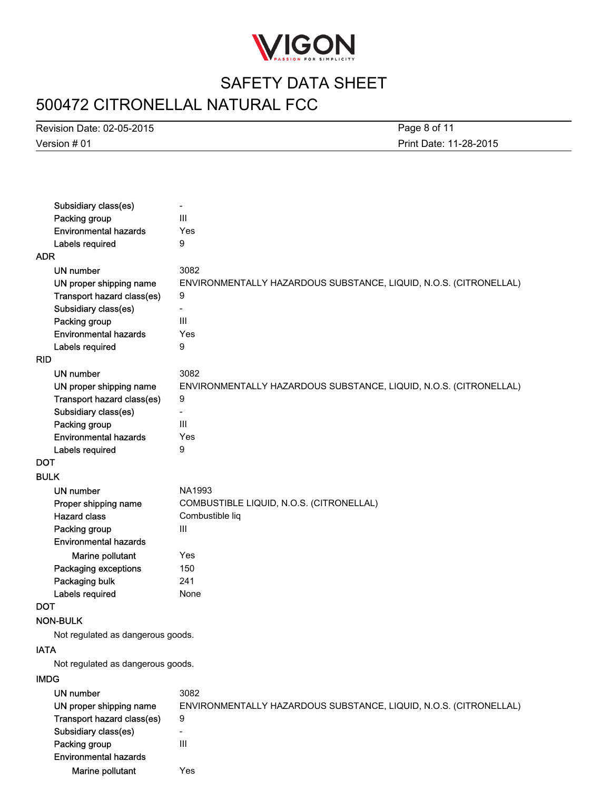

# 500472 CITRONELLAL NATURAL FCC

Version # 01 Revision Date: 02-05-2015

Print Date: 11-28-2015 Page 8 of 11

| Subsidiary class(es)              | $\overline{\phantom{a}}$                                          |
|-----------------------------------|-------------------------------------------------------------------|
| Packing group                     | III                                                               |
| <b>Environmental hazards</b>      | Yes                                                               |
| Labels required                   | 9                                                                 |
| ADR                               |                                                                   |
| <b>UN number</b>                  | 3082                                                              |
| UN proper shipping name           | ENVIRONMENTALLY HAZARDOUS SUBSTANCE, LIQUID, N.O.S. (CITRONELLAL) |
| Transport hazard class(es)        | 9                                                                 |
| Subsidiary class(es)              | $\overline{\phantom{0}}$                                          |
| Packing group                     | III                                                               |
| <b>Environmental hazards</b>      | Yes                                                               |
| Labels required                   | 9                                                                 |
| <b>RID</b>                        |                                                                   |
| UN number                         | 3082                                                              |
| UN proper shipping name           | ENVIRONMENTALLY HAZARDOUS SUBSTANCE, LIQUID, N.O.S. (CITRONELLAL) |
| Transport hazard class(es)        | 9                                                                 |
| Subsidiary class(es)              |                                                                   |
| Packing group                     | III                                                               |
| <b>Environmental hazards</b>      | Yes                                                               |
| Labels required                   | 9                                                                 |
| <b>DOT</b>                        |                                                                   |
| <b>BULK</b>                       |                                                                   |
| UN number                         | NA1993                                                            |
| Proper shipping name              | COMBUSTIBLE LIQUID, N.O.S. (CITRONELLAL)                          |
| <b>Hazard class</b>               | Combustible liq                                                   |
| Packing group                     | Ш                                                                 |
| <b>Environmental hazards</b>      |                                                                   |
| Marine pollutant                  | Yes                                                               |
| Packaging exceptions              | 150                                                               |
| Packaging bulk                    | 241                                                               |
| Labels required                   | None                                                              |
| <b>DOT</b>                        |                                                                   |
| <b>NON-BULK</b>                   |                                                                   |
| Not regulated as dangerous goods. |                                                                   |
| <b>IATA</b>                       |                                                                   |
| Not regulated as dangerous goods. |                                                                   |
| <b>IMDG</b>                       |                                                                   |
| <b>UN number</b>                  | 3082                                                              |
| UN proper shipping name           | ENVIRONMENTALLY HAZARDOUS SUBSTANCE, LIQUID, N.O.S. (CITRONELLAL) |
| Transport hazard class(es)        | 9                                                                 |
| Subsidiary class(es)              | $\overline{\phantom{0}}$                                          |
| Packing group                     | Ш                                                                 |
| <b>Environmental hazards</b>      |                                                                   |

Marine pollutant Yes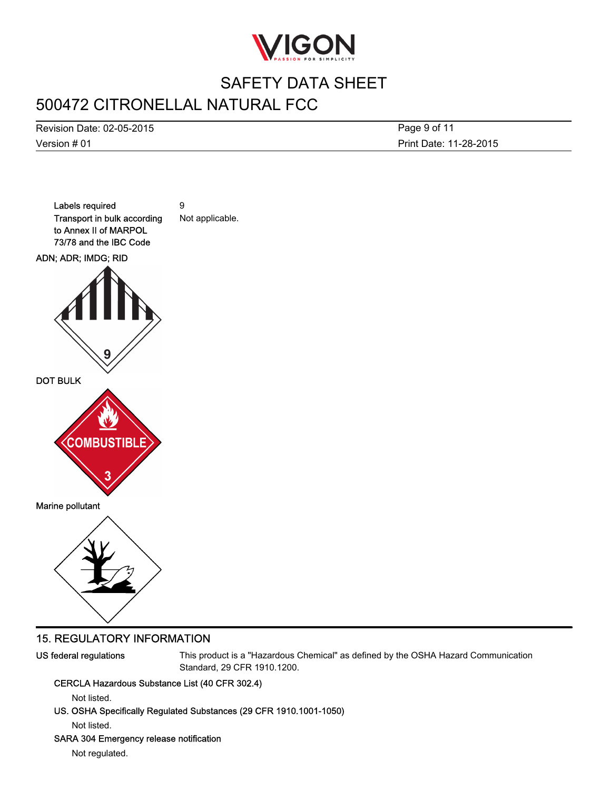

# 500472 CITRONELLAL NATURAL FCC

Version # 01 Revision Date: 02-05-2015 Print Date: 11-28-2015 Page 9 of 11



#### 15. REGULATORY INFORMATION

US federal regulations This product is a "Hazardous Chemical" as defined by the OSHA Hazard Communication Standard, 29 CFR 1910.1200.

#### CERCLA Hazardous Substance List (40 CFR 302.4)

Not listed.

US. OSHA Specifically Regulated Substances (29 CFR 1910.1001-1050)

Not listed.

#### SARA 304 Emergency release notification

Not regulated.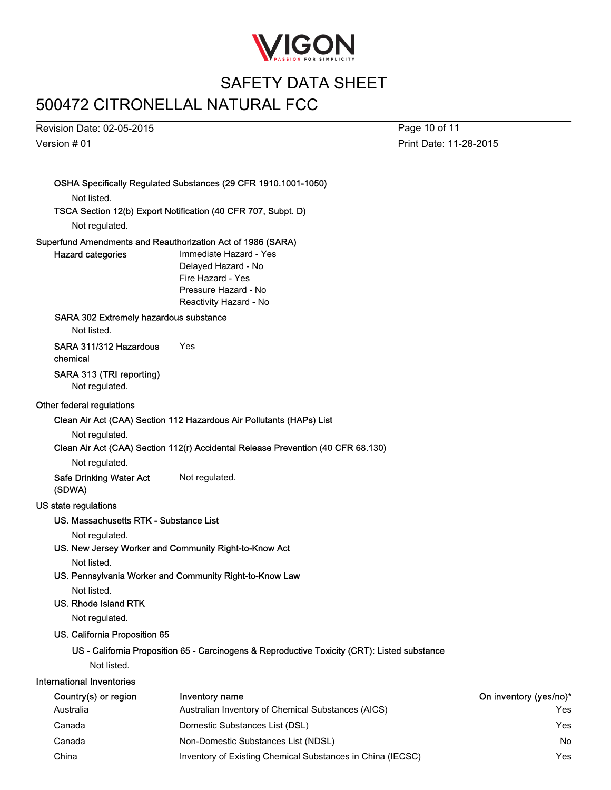

# 500472 CITRONELLAL NATURAL FCC

Version # 01 Revision Date: 02-05-2015 Page 10 of 11

Print Date: 11-28-2015

|                                                                                         | OSHA Specifically Regulated Substances (29 CFR 1910.1001-1050)                                                       |                               |
|-----------------------------------------------------------------------------------------|----------------------------------------------------------------------------------------------------------------------|-------------------------------|
| Not listed.                                                                             |                                                                                                                      |                               |
| Not regulated.                                                                          | TSCA Section 12(b) Export Notification (40 CFR 707, Subpt. D)                                                        |                               |
| Superfund Amendments and Reauthorization Act of 1986 (SARA)<br><b>Hazard categories</b> | Immediate Hazard - Yes<br>Delayed Hazard - No<br>Fire Hazard - Yes<br>Pressure Hazard - No<br>Reactivity Hazard - No |                               |
| SARA 302 Extremely hazardous substance<br>Not listed.                                   |                                                                                                                      |                               |
| SARA 311/312 Hazardous<br>chemical                                                      | Yes                                                                                                                  |                               |
| SARA 313 (TRI reporting)<br>Not regulated.                                              |                                                                                                                      |                               |
| Other federal regulations                                                               |                                                                                                                      |                               |
|                                                                                         | Clean Air Act (CAA) Section 112 Hazardous Air Pollutants (HAPs) List                                                 |                               |
| Not regulated.                                                                          |                                                                                                                      |                               |
|                                                                                         | Clean Air Act (CAA) Section 112(r) Accidental Release Prevention (40 CFR 68.130)                                     |                               |
| Not regulated.                                                                          |                                                                                                                      |                               |
| Safe Drinking Water Act<br>(SDWA)                                                       | Not regulated.                                                                                                       |                               |
| US state regulations                                                                    |                                                                                                                      |                               |
| US. Massachusetts RTK - Substance List                                                  |                                                                                                                      |                               |
| Not regulated.                                                                          |                                                                                                                      |                               |
|                                                                                         | US. New Jersey Worker and Community Right-to-Know Act                                                                |                               |
| Not listed.                                                                             |                                                                                                                      |                               |
|                                                                                         | US. Pennsylvania Worker and Community Right-to-Know Law                                                              |                               |
| Not listed.                                                                             |                                                                                                                      |                               |
| US. Rhode Island RTK<br>Not regulated.                                                  |                                                                                                                      |                               |
| US. California Proposition 65                                                           |                                                                                                                      |                               |
|                                                                                         |                                                                                                                      |                               |
| Not listed.                                                                             | US - California Proposition 65 - Carcinogens & Reproductive Toxicity (CRT): Listed substance                         |                               |
| <b>International Inventories</b>                                                        |                                                                                                                      |                               |
|                                                                                         |                                                                                                                      |                               |
| Country(s) or region<br>Australia                                                       | Inventory name<br>Australian Inventory of Chemical Substances (AICS)                                                 | On inventory (yes/no)*<br>Yes |
| Canada                                                                                  | Domestic Substances List (DSL)                                                                                       | Yes                           |
| Canada                                                                                  | Non-Domestic Substances List (NDSL)                                                                                  | No                            |
| China                                                                                   | Inventory of Existing Chemical Substances in China (IECSC)                                                           | Yes                           |
|                                                                                         |                                                                                                                      |                               |